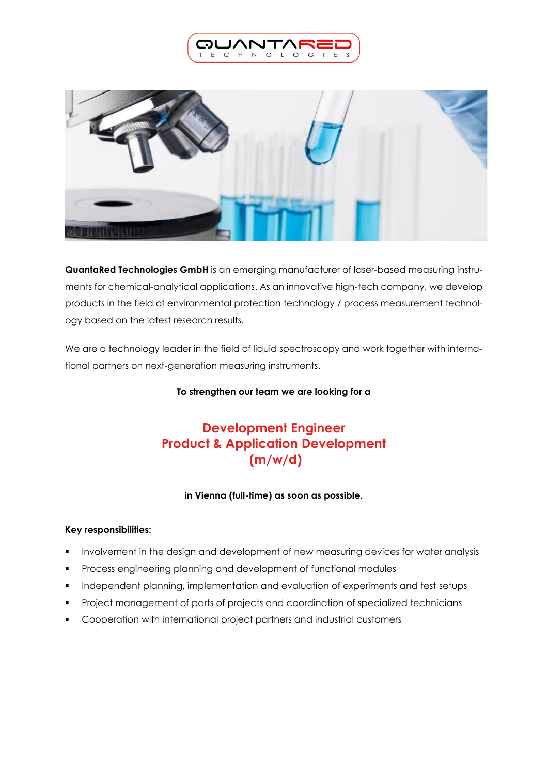



**QuantaRed Technologies GmbH** is an emerging manufacturer of laser-based measuring instruments for chemical-analytical applications. As an innovative high-tech company, we develop products in the field of environmental protection technology / process measurement technology based on the latest research results.

We are a technology leader in the field of liquid spectroscopy and work together with international partners on next-generation measuring instruments.

## **To strengthen our team we are looking for a**

# **Development Engineer Product & Application Development (m/w/d)**

# **in Vienna (full-time) as soon as possible.**

# **Key responsibilities:**

- Involvement in the design and development of new measuring devices for water analysis
- Process engineering planning and development of functional modules
- Independent planning, implementation and evaluation of experiments and test setups
- Project management of parts of projects and coordination of specialized technicians
- Cooperation with international project partners and industrial customers